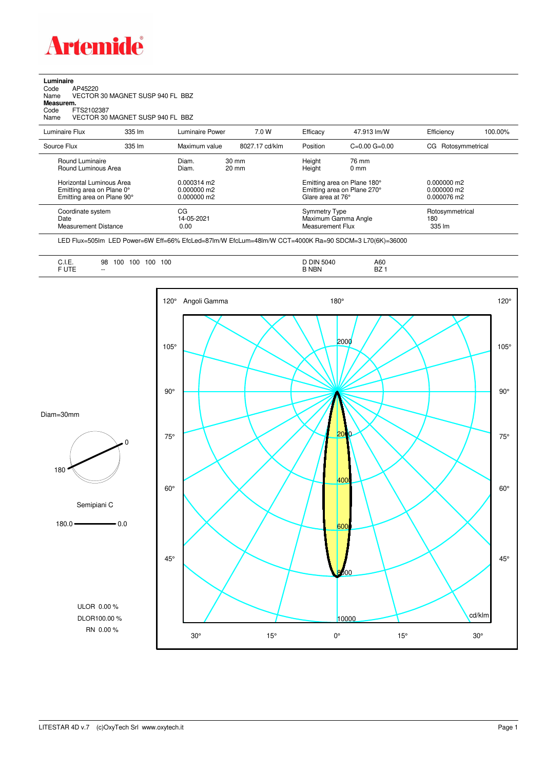

## **Luminaire**<br>Code /<br>Name \ Code AP45220 Name VECTOR 30 MAGNET SUSP 940 FL BBZ **Measurem.** Code FTS2102387 Name VECTOR 30 MAGNET SUSP 940 FL BBZ

| Luminaire Flux                                                                                                                | 335 lm | Luminaire Power                                                   | 7.0 W                              | Efficacy                                 | 47.913 lm/W                                                                                                                    | Efficiency                       | 100.00%                                       |  |
|-------------------------------------------------------------------------------------------------------------------------------|--------|-------------------------------------------------------------------|------------------------------------|------------------------------------------|--------------------------------------------------------------------------------------------------------------------------------|----------------------------------|-----------------------------------------------|--|
| Source Flux                                                                                                                   | 335 lm | Maximum value                                                     | 8027.17 cd/klm                     | Position                                 | $C=0.00$ $G=0.00$                                                                                                              | CG Rotosymmetrical               |                                               |  |
| Round Luminaire<br>Round Luminous Area<br>Horizontal Luminous Area<br>Emitting area on Plane 0°<br>Emitting area on Plane 90° |        | Diam.<br>Diam.<br>$0.000314$ m2<br>$0.000000$ m2<br>$0.000000$ m2 | $30 \text{ mm}$<br>$20 \text{ mm}$ |                                          | Height<br>76 mm<br>Height<br>$0 \text{ mm}$<br>Emitting area on Plane 180°<br>Emitting area on Plane 270°<br>Glare area at 76° |                                  | $0.000000$ m2<br>$0.000000$ m2<br>0.000076 m2 |  |
| Coordinate system<br>Date<br><b>Measurement Distance</b>                                                                      |        | CG<br>14-05-2021<br>0.00                                          |                                    | <b>Symmetry Type</b><br>Measurement Flux | Maximum Gamma Angle                                                                                                            | Rotosymmetrical<br>180<br>335 lm |                                               |  |

LED Flux=505lm LED Power=6W Eff=66% EfcLed=87lm/W EfcLum=48lm/W CCT=4000K Ra=90 SDCM=3 L70(6K)=36000